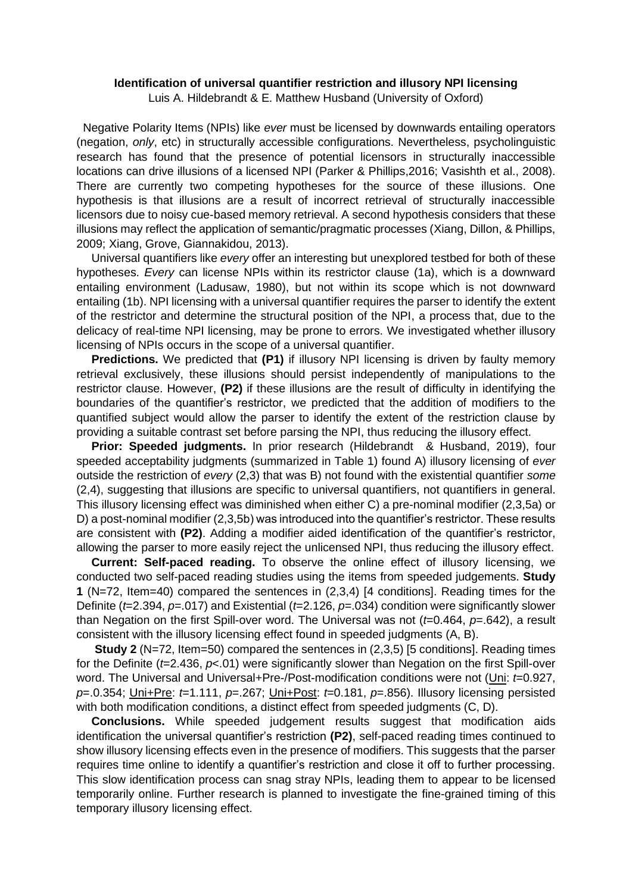## **Identification of universal quantifier restriction and illusory NPI licensing**

Luis A. Hildebrandt & E. Matthew Husband (University of Oxford)

Negative Polarity Items (NPIs) like *ever* must be licensed by downwards entailing operators (negation, *only*, etc) in structurally accessible configurations. Nevertheless, psycholinguistic research has found that the presence of potential licensors in structurally inaccessible locations can drive illusions of a licensed NPI (Parker & Phillips,2016; Vasishth et al., 2008). There are currently two competing hypotheses for the source of these illusions. One hypothesis is that illusions are a result of incorrect retrieval of structurally inaccessible licensors due to noisy cue-based memory retrieval. A second hypothesis considers that these illusions may reflect the application of semantic/pragmatic processes (Xiang, Dillon, & Phillips, 2009; Xiang, Grove, Giannakidou, 2013).

Universal quantifiers like *every* offer an interesting but unexplored testbed for both of these hypotheses. *Every* can license NPIs within its restrictor clause (1a), which is a downward entailing environment (Ladusaw, 1980), but not within its scope which is not downward entailing (1b). NPI licensing with a universal quantifier requires the parser to identify the extent of the restrictor and determine the structural position of the NPI, a process that, due to the delicacy of real-time NPI licensing, may be prone to errors. We investigated whether illusory licensing of NPIs occurs in the scope of a universal quantifier.

**Predictions.** We predicted that **(P1)** if illusory NPI licensing is driven by faulty memory retrieval exclusively, these illusions should persist independently of manipulations to the restrictor clause. However, **(P2)** if these illusions are the result of difficulty in identifying the boundaries of the quantifier's restrictor, we predicted that the addition of modifiers to the quantified subject would allow the parser to identify the extent of the restriction clause by providing a suitable contrast set before parsing the NPI, thus reducing the illusory effect.

**Prior: Speeded judgments.** In prior research (Hildebrandt & Husband, 2019), four speeded acceptability judgments (summarized in Table 1) found A) illusory licensing of *ever* outside the restriction of *every* (2,3) that was B) not found with the existential quantifier *some* (2,4), suggesting that illusions are specific to universal quantifiers, not quantifiers in general. This illusory licensing effect was diminished when either C) a pre-nominal modifier (2,3,5a) or D) a post-nominal modifier (2,3,5b) was introduced into the quantifier's restrictor. These results are consistent with **(P2)**. Adding a modifier aided identification of the quantifier's restrictor, allowing the parser to more easily reject the unlicensed NPI, thus reducing the illusory effect.

**Current: Self-paced reading.** To observe the online effect of illusory licensing, we conducted two self-paced reading studies using the items from speeded judgements. **Study 1** (N=72, Item=40) compared the sentences in (2,3,4) [4 conditions]. Reading times for the Definite (*t*=2.394, *p*=.017) and Existential (*t*=2.126, *p*=.034) condition were significantly slower than Negation on the first Spill-over word. The Universal was not (*t*=0.464, *p*=.642), a result consistent with the illusory licensing effect found in speeded judgments (A, B).

**Study 2** (N=72, Item=50) compared the sentences in (2,3,5) [5 conditions]. Reading times for the Definite (*t*=2.436, *p*<.01) were significantly slower than Negation on the first Spill-over word. The Universal and Universal+Pre-/Post-modification conditions were not (Uni: *t*=0.927, *p*=.0.354; Uni+Pre: *t*=1.111, *p*=.267; Uni+Post: *t*=0.181, *p*=.856). Illusory licensing persisted with both modification conditions, a distinct effect from speeded judgments (C, D).

**Conclusions.** While speeded judgement results suggest that modification aids identification the universal quantifier's restriction **(P2)**, self-paced reading times continued to show illusory licensing effects even in the presence of modifiers. This suggests that the parser requires time online to identify a quantifier's restriction and close it off to further processing. This slow identification process can snag stray NPIs, leading them to appear to be licensed temporarily online. Further research is planned to investigate the fine-grained timing of this temporary illusory licensing effect.